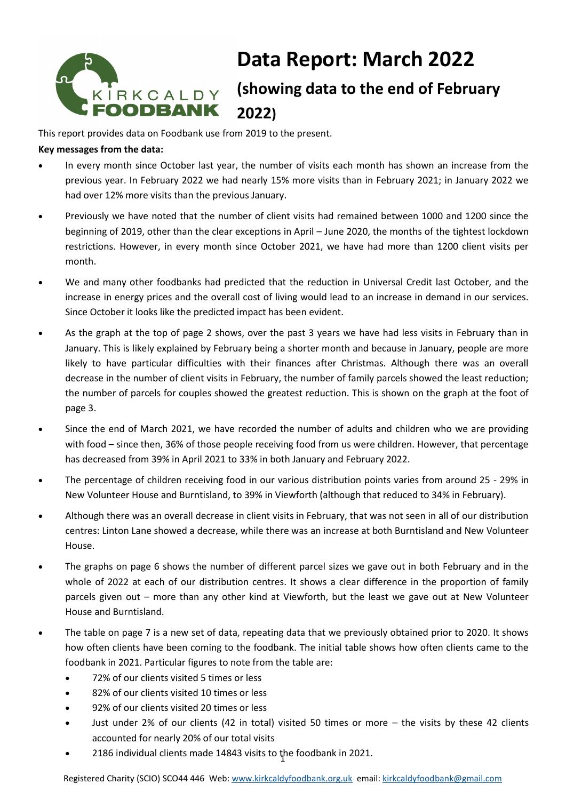# KİRKCALDY<br>FOODBANK

# **Data Report: March 2022 (showing data to the end of February 2022)**

This report provides data on Foodbank use from 2019 to the present.

#### **Key messages from the data:**

- In every month since October last year, the number of visits each month has shown an increase from the previous year. In February 2022 we had nearly 15% more visits than in February 2021; in January 2022 we had over 12% more visits than the previous January.
- Previously we have noted that the number of client visits had remained between 1000 and 1200 since the beginning of 2019, other than the clear exceptions in April – June 2020, the months of the tightest lockdown restrictions. However, in every month since October 2021, we have had more than 1200 client visits per month.
- We and many other foodbanks had predicted that the reduction in Universal Credit last October, and the increase in energy prices and the overall cost of living would lead to an increase in demand in our services. Since October it looks like the predicted impact has been evident.
- As the graph at the top of page 2 shows, over the past 3 years we have had less visits in February than in January. This is likely explained by February being a shorter month and because in January, people are more likely to have particular difficulties with their finances after Christmas. Although there was an overall decrease in the number of client visits in February, the number of family parcels showed the least reduction; the number of parcels for couples showed the greatest reduction. This is shown on the graph at the foot of page 3.
- Since the end of March 2021, we have recorded the number of adults and children who we are providing with food – since then, 36% of those people receiving food from us were children. However, that percentage has decreased from 39% in April 2021 to 33% in both January and February 2022.
- The percentage of children receiving food in our various distribution points varies from around 25 29% in New Volunteer House and Burntisland, to 39% in Viewforth (although that reduced to 34% in February).
- Although there was an overall decrease in client visits in February, that was not seen in all of our distribution centres: Linton Lane showed a decrease, while there was an increase at both Burntisland and New Volunteer House.
- The graphs on page 6 shows the number of different parcel sizes we gave out in both February and in the whole of 2022 at each of our distribution centres. It shows a clear difference in the proportion of family parcels given out – more than any other kind at Viewforth, but the least we gave out at New Volunteer House and Burntisland.
- The table on page 7 is a new set of data, repeating data that we previously obtained prior to 2020. It shows how often clients have been coming to the foodbank. The initial table shows how often clients came to the foodbank in 2021. Particular figures to note from the table are:
	- 72% of our clients visited 5 times or less
	- 82% of our clients visited 10 times or less
	- 92% of our clients visited 20 times or less
	- Just under 2% of our clients (42 in total) visited 50 times or more the visits by these 42 clients accounted for nearly 20% of our total visits
	- 2186 individual clients made 14843 visits to the foodbank in 2021.

Registered Charity (SCIO) SCO44 446 Web: [www.kirkcaldyfoodbank.org.uk](http://www.kirkcaldyfoodbank.org.uk) email: [kirkcaldyfoodbank@gmail.com](mailto:mailtokirkcaldyfoodbank@gmail.com)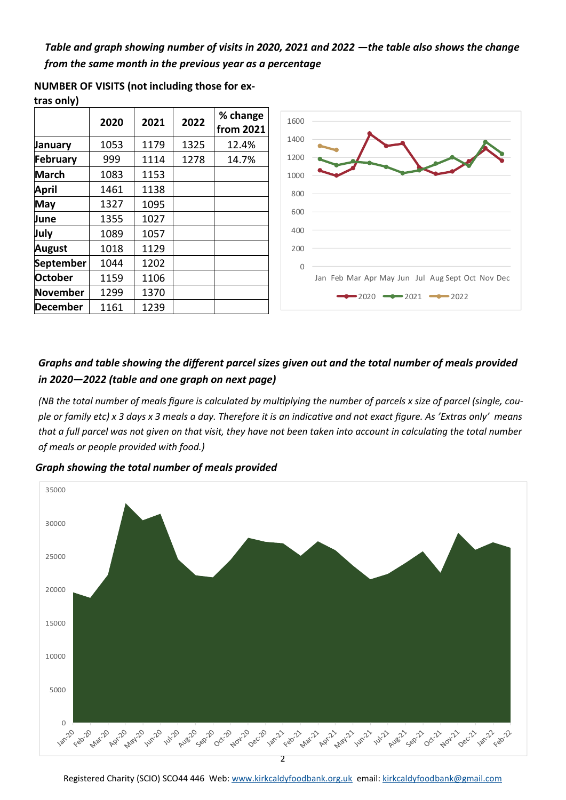*Table and graph showing number of visits in 2020, 2021 and 2022 —the table also shows the change from the same month in the previous year as a percentage* 

|                  | 2020 | 2021 | 2022 | % change<br>from 2021 |
|------------------|------|------|------|-----------------------|
| January          | 1053 | 1179 | 1325 | 12.4%                 |
| <b>February</b>  | 999  | 1114 | 1278 | 14.7%                 |
| <b>March</b>     | 1083 | 1153 |      |                       |
| April            | 1461 | 1138 |      |                       |
| May              | 1327 | 1095 |      |                       |
| June             | 1355 | 1027 |      |                       |
| July             | 1089 | 1057 |      |                       |
| August           | 1018 | 1129 |      |                       |
| <b>September</b> | 1044 | 1202 |      |                       |
| <b>October</b>   | 1159 | 1106 |      |                       |
| <b>November</b>  | 1299 | 1370 |      |                       |
| <b>December</b>  | 1161 | 1239 |      |                       |

**NUMBER OF VISITS (not including those for ex-**

**tras only)**



### *Graphs and table showing the different parcel sizes given out and the total number of meals provided in 2020—2022 (table and one graph on next page)*

*(NB the total number of meals figure is calculated by multiplying the number of parcels x size of parcel (single, couple or family etc) x 3 days x 3 meals a day. Therefore it is an indicative and not exact figure. As 'Extras only' means that a full parcel was not given on that visit, they have not been taken into account in calculating the total number of meals or people provided with food.)* 

*Graph showing the total number of meals provided* 

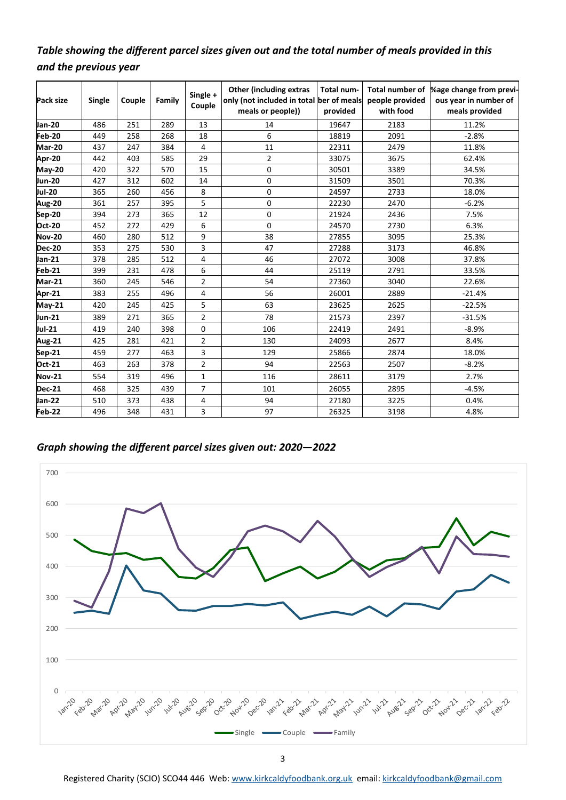## *Table showing the different parcel sizes given out and the total number of meals provided in this and the previous year*

| Pack size     | Single | Couple | Family | Single +<br>Couple | <b>Other (including extras)</b><br>only (not included in total ber of meals<br>meals or people)) | Total num-<br>provided | people provided<br>with food | Total number of  %age change from previ-<br>ous year in number of<br>meals provided |  |
|---------------|--------|--------|--------|--------------------|--------------------------------------------------------------------------------------------------|------------------------|------------------------------|-------------------------------------------------------------------------------------|--|
| Jan-20        | 486    | 251    | 289    | 13                 | 14                                                                                               | 19647                  | 2183                         | 11.2%                                                                               |  |
| Feb-20        | 449    | 258    | 268    | 18                 | 6                                                                                                | 18819                  | 2091                         | $-2.8%$                                                                             |  |
| <b>Mar-20</b> | 437    | 247    | 384    | 4                  | 11                                                                                               | 22311                  | 2479                         | 11.8%                                                                               |  |
| Apr-20        | 442    | 403    | 585    | 29                 | $\overline{2}$                                                                                   | 33075                  | 3675                         | 62.4%                                                                               |  |
| <b>May-20</b> | 420    | 322    | 570    | 15                 | 0                                                                                                | 30501                  | 3389                         | 34.5%                                                                               |  |
| <b>Jun-20</b> | 427    | 312    | 602    | 14                 | 0                                                                                                | 31509                  | 3501                         | 70.3%                                                                               |  |
| <b>Jul-20</b> | 365    | 260    | 456    | 8                  | 0                                                                                                | 24597                  | 2733                         | 18.0%                                                                               |  |
| Aug-20        | 361    | 257    | 395    | 5                  | 0                                                                                                | 22230                  | 2470                         | $-6.2%$                                                                             |  |
| Sep-20        | 394    | 273    | 365    | 12                 | 0                                                                                                | 21924                  | 2436                         | 7.5%                                                                                |  |
| <b>Oct-20</b> | 452    | 272    | 429    | 6                  | 0                                                                                                | 2730<br>24570          |                              | 6.3%                                                                                |  |
| <b>Nov-20</b> | 460    | 280    | 512    | 9                  | 38                                                                                               | 27855                  | 3095                         | 25.3%                                                                               |  |
| <b>Dec-20</b> | 353    | 275    | 530    | 3                  | 47                                                                                               | 27288                  | 3173                         | 46.8%                                                                               |  |
| Jan-21        | 378    | 285    | 512    | 4                  | 46                                                                                               | 27072                  | 3008                         | 37.8%                                                                               |  |
| Feb-21        | 399    | 231    | 478    | 6                  | 44                                                                                               | 25119                  | 2791                         | 33.5%                                                                               |  |
| Mar-21        | 360    | 245    | 546    | $\overline{2}$     | 54                                                                                               | 27360                  | 3040                         | 22.6%                                                                               |  |
| Apr-21        | 383    | 255    | 496    | 4                  | 56                                                                                               | 26001                  | 2889                         | $-21.4%$                                                                            |  |
| <b>May-21</b> | 420    | 245    | 425    | 5                  | 63                                                                                               | 23625                  | 2625                         | $-22.5%$                                                                            |  |
| Jun-21        | 389    | 271    | 365    | $\overline{2}$     | 78                                                                                               | 21573                  | 2397                         | $-31.5%$                                                                            |  |
| Jul-21        | 419    | 240    | 398    | $\mathbf 0$        | 106                                                                                              | 22419                  | 2491                         | $-8.9%$                                                                             |  |
| Aug-21        | 425    | 281    | 421    | $\overline{2}$     | 130                                                                                              | 24093                  | 2677                         | 8.4%                                                                                |  |
| Sep-21        | 459    | 277    | 463    | 3                  | 129                                                                                              | 25866                  | 2874                         | 18.0%                                                                               |  |
| Oct-21        | 463    | 263    | 378    | $\overline{2}$     | 94                                                                                               | 22563                  | 2507                         | $-8.2%$                                                                             |  |
| <b>Nov-21</b> | 554    | 319    | 496    | 1                  | 116                                                                                              | 28611                  | 3179                         | 2.7%                                                                                |  |
| <b>Dec-21</b> | 468    | 325    | 439    | $\overline{7}$     | 101                                                                                              | 26055                  | 2895                         | $-4.5%$                                                                             |  |
| Jan-22        | 510    | 373    | 438    | 4                  | 94                                                                                               | 27180                  | 3225                         | 0.4%                                                                                |  |
| Feb-22        | 496    | 348    | 431    | 3                  | 97                                                                                               | 26325                  | 3198                         | 4.8%                                                                                |  |

*Graph showing the different parcel sizes given out: 2020—2022*



3

Registered Charity (SCIO) SCO44 446 Web: [www.kirkcaldyfoodbank.org.uk](http://www.kirkcaldyfoodbank.org.uk) email: [kirkcaldyfoodbank@gmail.com](mailto:mailtokirkcaldyfoodbank@gmail.com)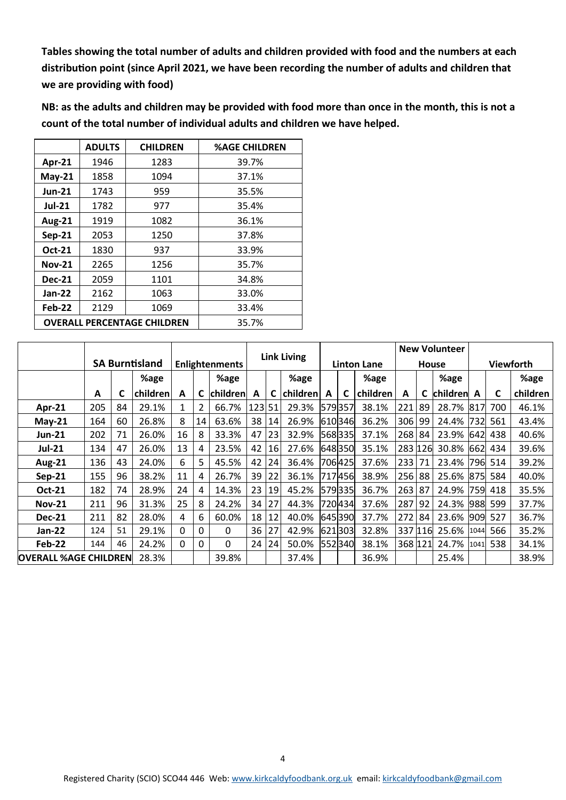**Tables showing the total number of adults and children provided with food and the numbers at each distribution point (since April 2021, we have been recording the number of adults and children that we are providing with food)**

**NB: as the adults and children may be provided with food more than once in the month, this is not a count of the total number of individual adults and children we have helped.** 

|                       | <b>ADULTS</b>                      | <b>CHILDREN</b> | <b>%AGE CHILDREN</b> |  |
|-----------------------|------------------------------------|-----------------|----------------------|--|
| Apr-21                | 1946                               | 1283            | 39.7%                |  |
| $May-21$              | 1858                               | 1094            | 37.1%                |  |
| <b>Jun-21</b>         | 1743                               | 959             | 35.5%                |  |
| <b>Jul-21</b>         | 1782                               | 977             | 35.4%                |  |
| <b>Aug-21</b>         | 1919                               | 1082            | 36.1%                |  |
| <b>Sep-21</b>         | 2053                               | 1250            | 37.8%                |  |
| Oct-21                | 1830                               | 937             | 33.9%                |  |
| <b>Nov-21</b><br>2265 |                                    | 1256            | 35.7%                |  |
| <b>Dec-21</b>         | 2059                               | 1101            | 34.8%                |  |
| <b>Jan-22</b>         | 2162                               | 1063            | 33.0%                |  |
| Feb-22                | 2129                               | 1069            | 33.4%                |  |
|                       | <b>OVERALL PERCENTAGE CHILDREN</b> | 35.7%           |                      |  |

|                              |     |    |                       |                       |                 | <b>Link Living</b> |        |                    |          | <b>New Volunteer</b> |         |                  |         |    |          |      |     |          |
|------------------------------|-----|----|-----------------------|-----------------------|-----------------|--------------------|--------|--------------------|----------|----------------------|---------|------------------|---------|----|----------|------|-----|----------|
|                              |     |    | <b>SA Burntisland</b> | <b>Enlightenments</b> |                 |                    |        | <b>Linton Lane</b> |          | House                |         | <b>Viewforth</b> |         |    |          |      |     |          |
|                              |     |    | %age                  |                       |                 | %age               |        |                    | %age     |                      |         | %age             |         |    | %age     |      |     | %age     |
|                              | A   | C  | children              | A                     |                 | children           | A      |                    | children | A                    | C       | children         | A       | C  | children | A    | C   | children |
| Apr-21                       | 205 | 84 | 29.1%                 | 1                     | 2               | 66.7%              | 123 51 |                    | 29.3%    |                      | 579357  | 38.1%            | 221     | 89 | 28.7%    | 817  | 700 | 46.1%    |
| $May-21$                     | 164 | 60 | 26.8%                 | 8                     | 14 <sup>1</sup> | 63.6%              | 38     | 14                 | 26.9%    |                      | 610346  | 36.2%            | 306     | 99 | 24.4%    | 732  | 561 | 43.4%    |
| Jun-21                       | 202 | 71 | 26.0%                 | 16                    | 8               | 33.3%              | 47     | 23                 | 32.9%    |                      | 568335  | 37.1%            | 268     | 84 | 23.9%    | 642  | 438 | 40.6%    |
| <b>Jul-21</b>                | 134 | 47 | 26.0%                 | 13                    | 4               | 23.5%              | 42     | 16                 | 27.6%    |                      | 648350  | 35.1%            | 283 126 |    | 30.8%    | 662  | 434 | 39.6%    |
| <b>Aug-21</b>                | 136 | 43 | 24.0%                 | 6                     | 5               | 45.5%              | 42     | 24                 | 36.4%    |                      | 706425  | 37.6%            | 233     | 71 | 23.4%    | 7961 | 514 | 39.2%    |
| $Sep-21$                     | 155 | 96 | 38.2%                 | 11                    | 4               | 26.7%              | 39     | 22                 | 36.1%    |                      | 717456  | 38.9%            | 256     | 88 | 25.6%    | 875  | 584 | 40.0%    |
| Oct-21                       | 182 | 74 | 28.9%                 | 24                    | 4               | 14.3%              | 23     | 19                 | 45.2%    |                      | 579335  | 36.7%            | 263     | 87 | 24.9%    | 759  | 418 | 35.5%    |
| <b>Nov-21</b>                | 211 | 96 | 31.3%                 | 25                    | 8               | 24.2%              | 34     | 27                 | 44.3%    |                      | 720434  | 37.6%            | 287     | 92 | 24.3%    | 988  | 599 | 37.7%    |
| <b>Dec-21</b>                | 211 | 82 | 28.0%                 | 4                     | 6               | 60.0%              | 18     | 12                 | 40.0%    |                      | 645 390 | 37.7%            | 272     | 84 | 23.6%    | 909  | 527 | 36.7%    |
| Jan-22                       | 124 | 51 | 29.1%                 | 0                     | 0               | $\mathbf{0}$       | 36     | 27                 | 42.9%    |                      | 621303  | 32.8%            | 337 116 |    | 25.6%    | 1044 | 566 | 35.2%    |
| Feb-22                       | 144 | 46 | 24.2%                 | 0                     | 0               | $\Omega$           | 24     | 24                 | 50.0%    |                      | 552340  | 38.1%            | 368 121 |    | 24.7%    | 1041 | 538 | 34.1%    |
| <b>OVERALL %AGE CHILDREN</b> |     |    | 28.3%                 |                       |                 | 39.8%              |        |                    | 37.4%    |                      |         | 36.9%            |         |    | 25.4%    |      |     | 38.9%    |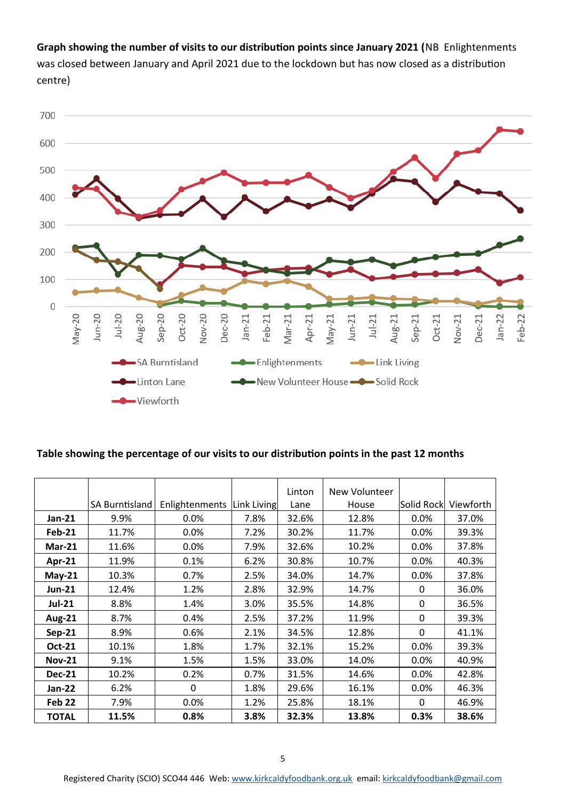**Graph showing the number of visits to our distribution points since January 2021 (**NB Enlightenments was closed between January and April 2021 due to the lockdown but has now closed as a distribution centre)



#### **Table showing the percentage of our visits to our distribution points in the past 12 months**

|                   |                       |                |             | Linton | New Volunteer |              |           |
|-------------------|-----------------------|----------------|-------------|--------|---------------|--------------|-----------|
|                   | <b>SA Burntisland</b> | Enlightenments | Link Living | Lane   | House         | lSolid Rockl | Viewforth |
| Jan-21            | 9.9%                  | 0.0%           | 7.8%        | 32.6%  | 12.8%         | 0.0%         | 37.0%     |
| <b>Feb-21</b>     | 11.7%                 | 0.0%           | 7.2%        | 30.2%  | 11.7%         | 0.0%         | 39.3%     |
| $Mar-21$          | 11.6%                 | 0.0%           | 7.9%        | 32.6%  | 10.2%         | 0.0%         | 37.8%     |
| Apr-21            | 11.9%                 | 0.1%           | 6.2%        | 30.8%  | 10.7%         | $0.0\%$      | 40.3%     |
| $May-21$          | 10.3%                 | 0.7%           | 2.5%        | 34.0%  | 14.7%         | 0.0%         | 37.8%     |
| <b>Jun-21</b>     | 12.4%                 | 1.2%           | 2.8%        | 32.9%  | 14.7%         | 0            | 36.0%     |
| <b>Jul-21</b>     | 8.8%                  | 1.4%           | 3.0%        | 35.5%  | 14.8%         | $\mathbf{0}$ | 36.5%     |
| <b>Aug-21</b>     | 8.7%                  | 0.4%           | 2.5%        | 37.2%  | 11.9%         | 0            | 39.3%     |
| <b>Sep-21</b>     | 8.9%                  | 0.6%           | 2.1%        | 34.5%  | 12.8%         | 0            | 41.1%     |
| <b>Oct-21</b>     | 10.1%                 | 1.8%           | 1.7%        | 32.1%  | 15.2%         | $0.0\%$      | 39.3%     |
| <b>Nov-21</b>     | 9.1%                  | 1.5%           | 1.5%        | 33.0%  | 14.0%         | 0.0%         | 40.9%     |
| <b>Dec-21</b>     | 10.2%                 | 0.2%           | 0.7%        | 31.5%  | 14.6%         | 0.0%         | 42.8%     |
| Jan-22            | 6.2%                  | $\Omega$       | 1.8%        | 29.6%  | 16.1%         | 0.0%         | 46.3%     |
| Feb <sub>22</sub> | 7.9%                  | 0.0%           | 1.2%        | 25.8%  | 18.1%         | $\Omega$     | 46.9%     |
| <b>TOTAL</b>      | 11.5%                 | 0.8%           | 3.8%        | 32.3%  | 13.8%         | 0.3%         | 38.6%     |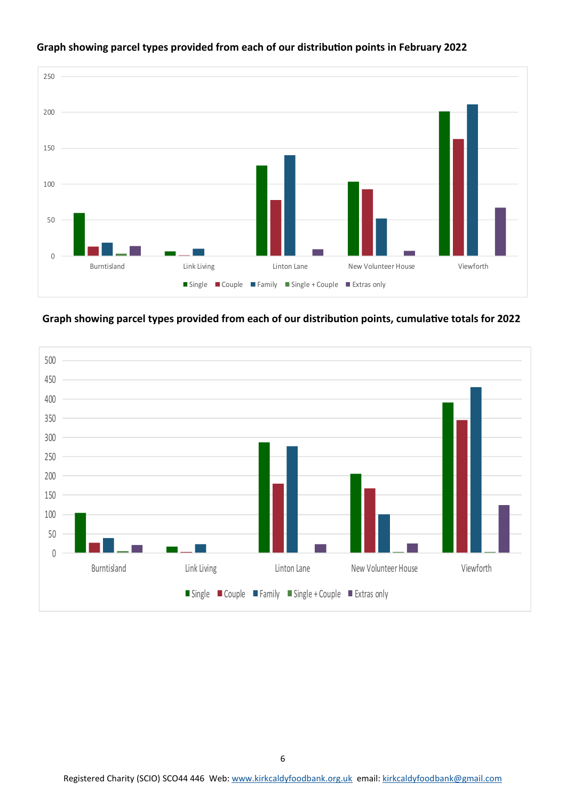

#### **Graph showing parcel types provided from each of our distribution points in February 2022**

**Graph showing parcel types provided from each of our distribution points, cumulative totals for 2022**